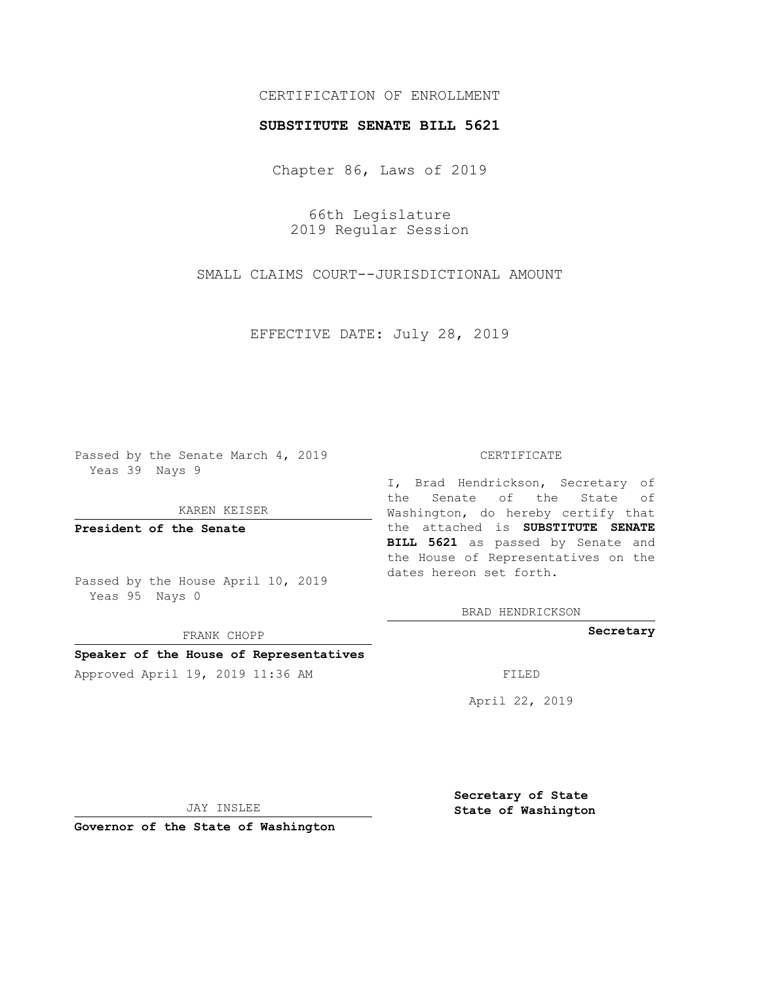# CERTIFICATION OF ENROLLMENT

### **SUBSTITUTE SENATE BILL 5621**

Chapter 86, Laws of 2019

66th Legislature 2019 Regular Session

SMALL CLAIMS COURT--JURISDICTIONAL AMOUNT

EFFECTIVE DATE: July 28, 2019

Passed by the Senate March 4, 2019 Yeas 39 Nays 9

KAREN KEISER

**President of the Senate**

Passed by the House April 10, 2019 Yeas 95 Nays 0

FRANK CHOPP

## **Speaker of the House of Representatives**

Approved April 19, 2019 11:36 AM FILED

#### CERTIFICATE

I, Brad Hendrickson, Secretary of the Senate of the State of Washington, do hereby certify that the attached is **SUBSTITUTE SENATE BILL 5621** as passed by Senate and the House of Representatives on the dates hereon set forth.

BRAD HENDRICKSON

**Secretary**

April 22, 2019

JAY INSLEE

**Governor of the State of Washington**

**Secretary of State State of Washington**